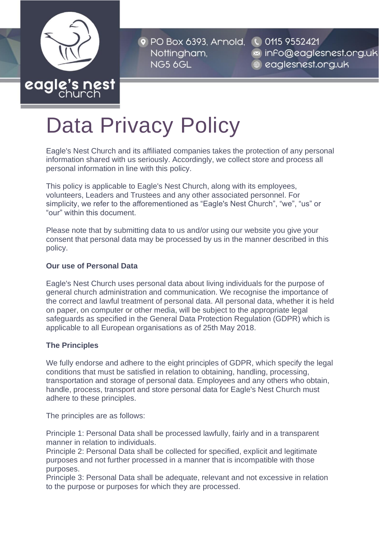

<sup>o</sup> PO Box 6393, Arnold, Nottingham, NG5 6GL

CO115 9552421  $\approx$  info@eaglesnest.org.uk eaglesnest.org.uk

# Data Privacy Policy

Eagle's Nest Church and its affiliated companies takes the protection of any personal information shared with us seriously. Accordingly, we collect store and process all personal information in line with this policy.

This policy is applicable to Eagle's Nest Church, along with its employees, volunteers, Leaders and Trustees and any other associated personnel. For simplicity, we refer to the afforementioned as "Eagle's Nest Church", "we", "us" or "our" within this document.

Please note that by submitting data to us and/or using our website you give your consent that personal data may be processed by us in the manner described in this policy.

## **Our use of Personal Data**

Eagle's Nest Church uses personal data about living individuals for the purpose of general church administration and communication. We recognise the importance of the correct and lawful treatment of personal data. All personal data, whether it is held on paper, on computer or other media, will be subject to the appropriate legal safeguards as specified in the General Data Protection Regulation (GDPR) which is applicable to all European organisations as of 25th May 2018.

## **The Principles**

We fully endorse and adhere to the eight principles of GDPR, which specify the legal conditions that must be satisfied in relation to obtaining, handling, processing, transportation and storage of personal data. Employees and any others who obtain, handle, process, transport and store personal data for Eagle's Nest Church must adhere to these principles.

The principles are as follows:

Principle 1: Personal Data shall be processed lawfully, fairly and in a transparent manner in relation to individuals.

Principle 2: Personal Data shall be collected for specified, explicit and legitimate purposes and not further processed in a manner that is incompatible with those purposes.

Principle 3: Personal Data shall be adequate, relevant and not excessive in relation to the purpose or purposes for which they are processed.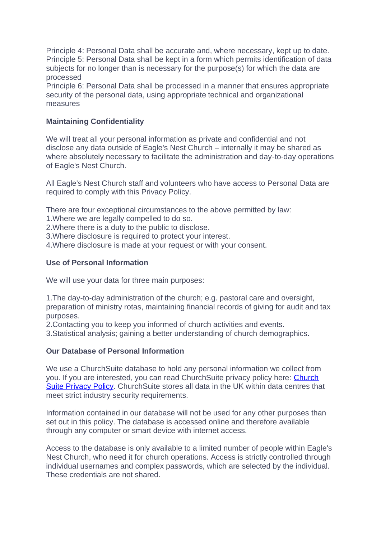Principle 4: Personal Data shall be accurate and, where necessary, kept up to date. Principle 5: Personal Data shall be kept in a form which permits identification of data subjects for no longer than is necessary for the purpose(s) for which the data are processed

Principle 6: Personal Data shall be processed in a manner that ensures appropriate security of the personal data, using appropriate technical and organizational measures

#### **Maintaining Confidentiality**

We will treat all your personal information as private and confidential and not disclose any data outside of Eagle's Nest Church – internally it may be shared as where absolutely necessary to facilitate the administration and day-to-day operations of Eagle's Nest Church.

All Eagle's Nest Church staff and volunteers who have access to Personal Data are required to comply with this Privacy Policy.

There are four exceptional circumstances to the above permitted by law:

1.Where we are legally compelled to do so.

2.Where there is a duty to the public to disclose.

3.Where disclosure is required to protect your interest.

4.Where disclosure is made at your request or with your consent.

#### **Use of Personal Information**

We will use your data for three main purposes:

1.The day-to-day administration of the church; e.g. pastoral care and oversight, preparation of ministry rotas, maintaining financial records of giving for audit and tax purposes.

2.Contacting you to keep you informed of church activities and events.

3.Statistical analysis; gaining a better understanding of church demographics.

#### **Our Database of Personal Information**

We use a ChurchSuite database to hold any personal information we collect from you. If you are interested, you can read ChurchSuite privacy policy here: [Church](https://churchsuite.com/privacy-policy) Suite [Privacy](https://churchsuite.com/privacy-policy) Policy. ChurchSuite stores all data in the UK within data centres that meet strict industry security requirements.

Information contained in our database will not be used for any other purposes than set out in this policy. The database is accessed online and therefore available through any computer or smart device with internet access.

Access to the database is only available to a limited number of people within Eagle's Nest Church, who need it for church operations. Access is strictly controlled through individual usernames and complex passwords, which are selected by the individual. These credentials are not shared.